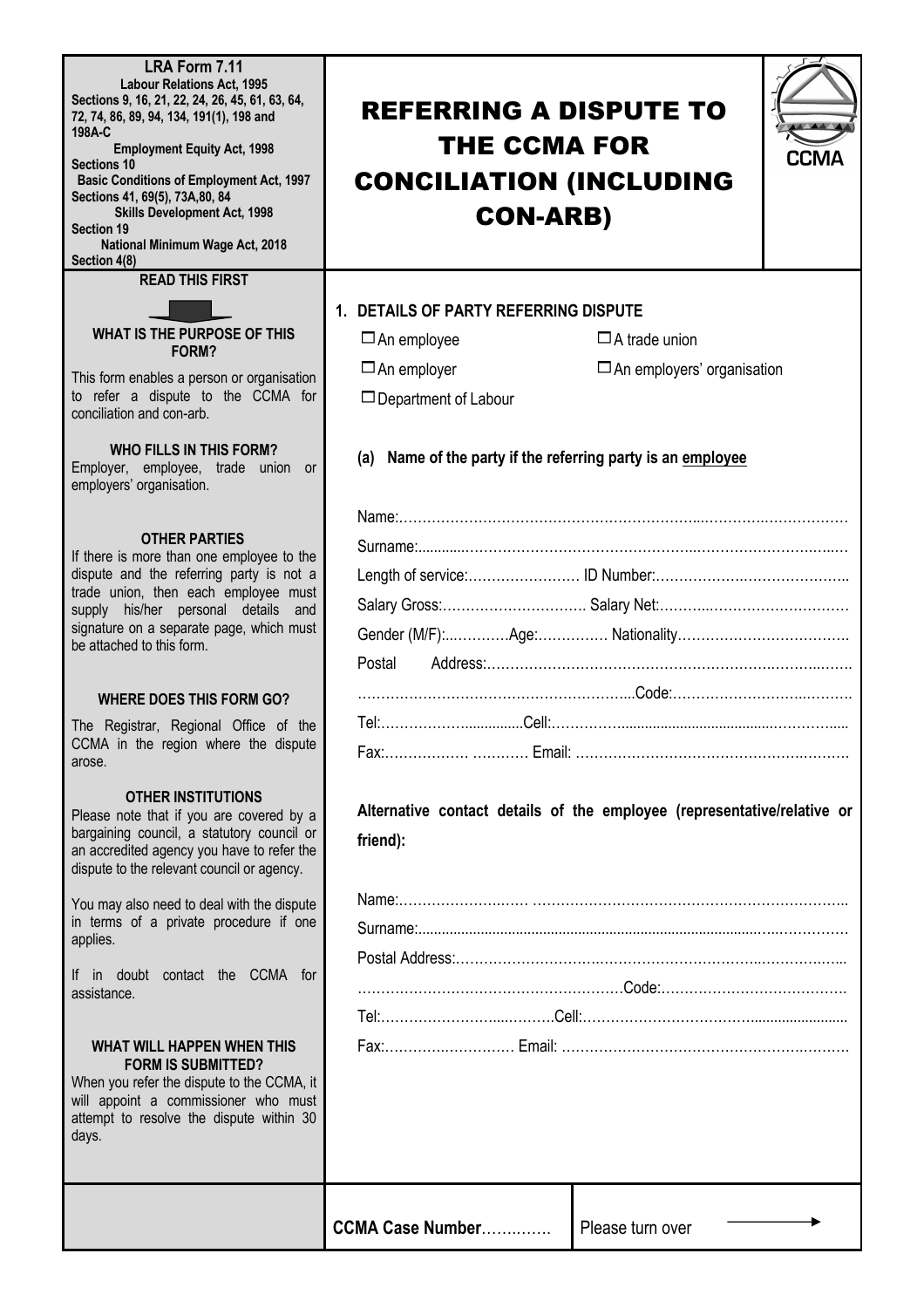**LRA Form 7.11 Labour Relations Act, 1995 Sections 9, 16, 21, 22, 24, 26, 45, 61, 63, 64, 72, 74, 86, 89, 94, 134, 191(1), 198 and 198A-C Employment Equity Act, 1998 Sections 10 Basic Conditions of Employment Act, 1997 Sections 41, 69(5), 73A,80, 84 Skills Development Act, 1998 Section 19**

**National Minimum Wage Act, 2018 Section 4(8)**

**READ THIS FIRST**

# **WHAT IS THE PURPOSE OF THIS FORM?**

This form enables a person or organisation to refer a dispute to the CCMA for conciliation and con-arb.

# **WHO FILLS IN THIS FORM?**

Employer, employee, trade union or employers' organisation.

# **OTHER PARTIES**

If there is more than one employee to the dispute and the referring party is not a trade union, then each employee must supply his/her personal details and signature on a separate page, which must be attached to this form.

## **WHERE DOES THIS FORM GO?**

The Registrar, Regional Office of the CCMA in the region where the dispute arose.

## **OTHER INSTITUTIONS**

Please note that if you are covered by a bargaining council, a statutory council or an accredited agency you have to refer the dispute to the relevant council or agency.

You may also need to deal with the dispute in terms of a private procedure if one applies.

If in doubt contact the CCMA for assistance.

#### **WHAT WILL HAPPEN WHEN THIS FORM IS SUBMITTED?**

When you refer the dispute to the CCMA, it will appoint a commissioner who must attempt to resolve the dispute within 30 days.

# REFERRING A DISPUTE TO THE CCMA FOR CONCILIATION (INCLUDING CON-ARB)



# **1. DETAILS OF PARTY REFERRING DISPUTE**

| $\Box$ An employee          | $\Box$ A trade union              |
|-----------------------------|-----------------------------------|
| $\Box$ An employer          | $\Box$ An employers' organisation |
| $\Box$ Department of Labour |                                   |

# **(a) Name of the party if the referring party is an employee**

# **Alternative contact details of the employee (representative/relative or friend):**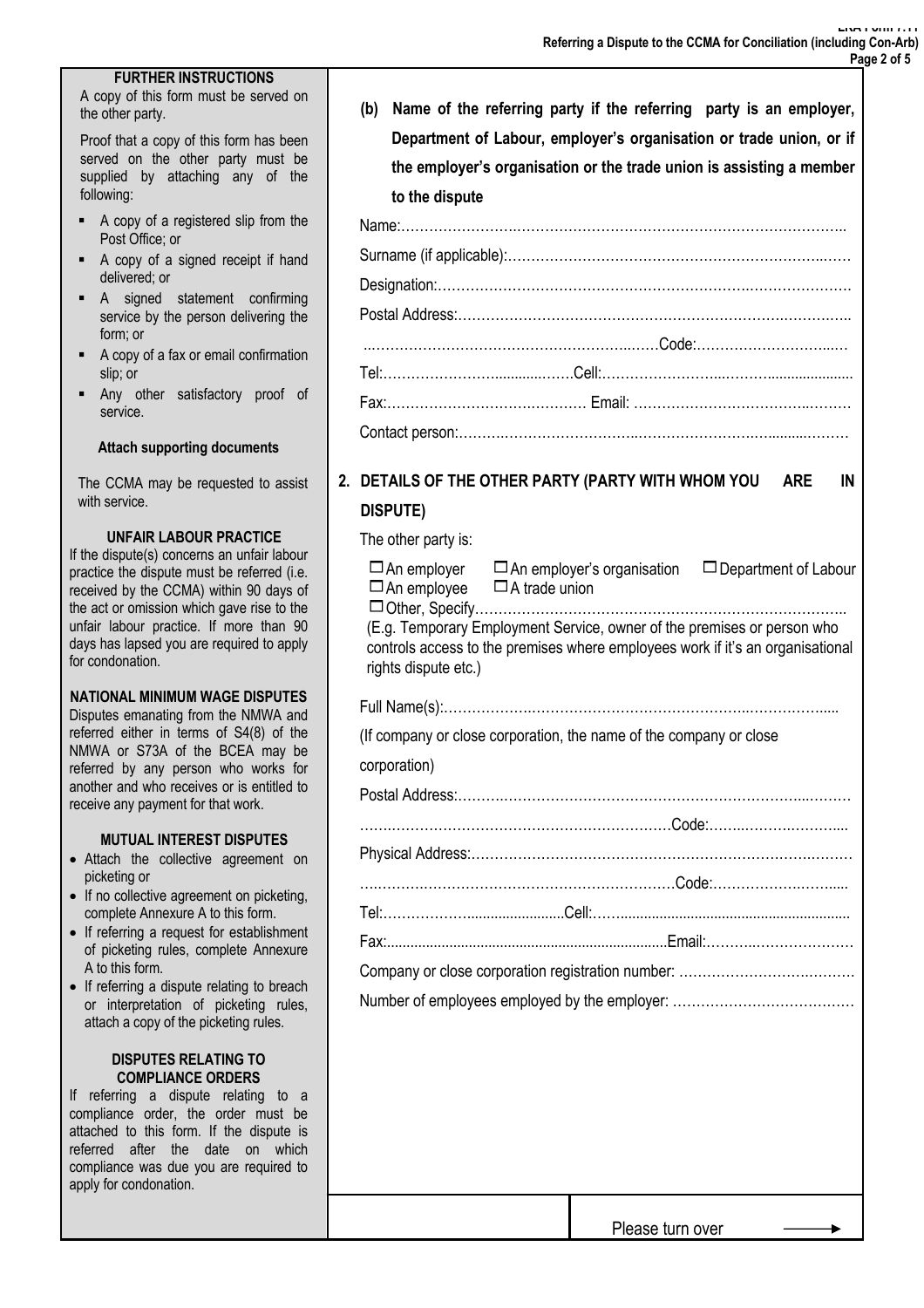## **FURTHER INSTRUCTIONS**

A copy of this form must be served on the other party.

Proof that a copy of this form has been served on the other party must be supplied by attaching any of the following:

- § A copy of a registered slip from the Post Office; or
- § A copy of a signed receipt if hand delivered; or
- § A signed statement confirming service by the person delivering the form; or
- § A copy of a fax or email confirmation slip; or
- § Any other satisfactory proof of service.

#### **Attach supporting documents**

The CCMA may be requested to assist with service.

#### **UNFAIR LABOUR PRACTICE**

If the dispute(s) concerns an unfair labour practice the dispute must be referred (i.e. received by the CCMA) within 90 days of the act or omission which gave rise to the unfair labour practice. If more than 90 days has lapsed you are required to apply for condonation.

# **NATIONAL MINIMUM WAGE DISPUTES**

Disputes emanating from the NMWA and referred either in terms of S4(8) of the NMWA or S73A of the BCEA may be referred by any person who works for another and who receives or is entitled to receive any payment for that work.

## **MUTUAL INTEREST DISPUTES**

- Attach the collective agreement on picketing or
- If no collective agreement on picketing, complete Annexure A to this form.
- If referring a request for establishment of picketing rules, complete Annexure A to this form.
- If referring a dispute relating to breach or interpretation of picketing rules, attach a copy of the picketing rules.

#### **DISPUTES RELATING TO COMPLIANCE ORDERS**

If referring a dispute relating to a compliance order, the order must be attached to this form. If the dispute is referred after the date on which compliance was due you are required to apply for condonation.

| (b) | Name of the referring party if the referring party is an employer,   |
|-----|----------------------------------------------------------------------|
|     | Department of Labour, employer's organisation or trade union, or if  |
|     | the employer's organisation or the trade union is assisting a member |
|     | to the dispute                                                       |
|     |                                                                      |
|     |                                                                      |
|     |                                                                      |

# **2. DETAILS OF THE OTHER PARTY (PARTY WITH WHOM YOU ARE IN DISPUTE)**

## The other party is:

| $\Box$ An employee $\Box$ A trade union                                                                                                                                           | $\Box$ An employer $\Box$ An employer's organisation $\Box$ Department of Labour |  |  |  |
|-----------------------------------------------------------------------------------------------------------------------------------------------------------------------------------|----------------------------------------------------------------------------------|--|--|--|
| (E.g. Temporary Employment Service, owner of the premises or person who<br>controls access to the premises where employees work if it's an organisational<br>rights dispute etc.) |                                                                                  |  |  |  |
|                                                                                                                                                                                   |                                                                                  |  |  |  |
|                                                                                                                                                                                   | (If company or close corporation, the name of the company or close               |  |  |  |
| corporation)                                                                                                                                                                      |                                                                                  |  |  |  |
|                                                                                                                                                                                   |                                                                                  |  |  |  |
|                                                                                                                                                                                   |                                                                                  |  |  |  |
|                                                                                                                                                                                   |                                                                                  |  |  |  |
|                                                                                                                                                                                   |                                                                                  |  |  |  |
|                                                                                                                                                                                   |                                                                                  |  |  |  |
|                                                                                                                                                                                   |                                                                                  |  |  |  |
|                                                                                                                                                                                   |                                                                                  |  |  |  |
|                                                                                                                                                                                   |                                                                                  |  |  |  |
|                                                                                                                                                                                   |                                                                                  |  |  |  |
|                                                                                                                                                                                   |                                                                                  |  |  |  |
|                                                                                                                                                                                   |                                                                                  |  |  |  |
|                                                                                                                                                                                   |                                                                                  |  |  |  |
|                                                                                                                                                                                   |                                                                                  |  |  |  |
|                                                                                                                                                                                   |                                                                                  |  |  |  |
|                                                                                                                                                                                   |                                                                                  |  |  |  |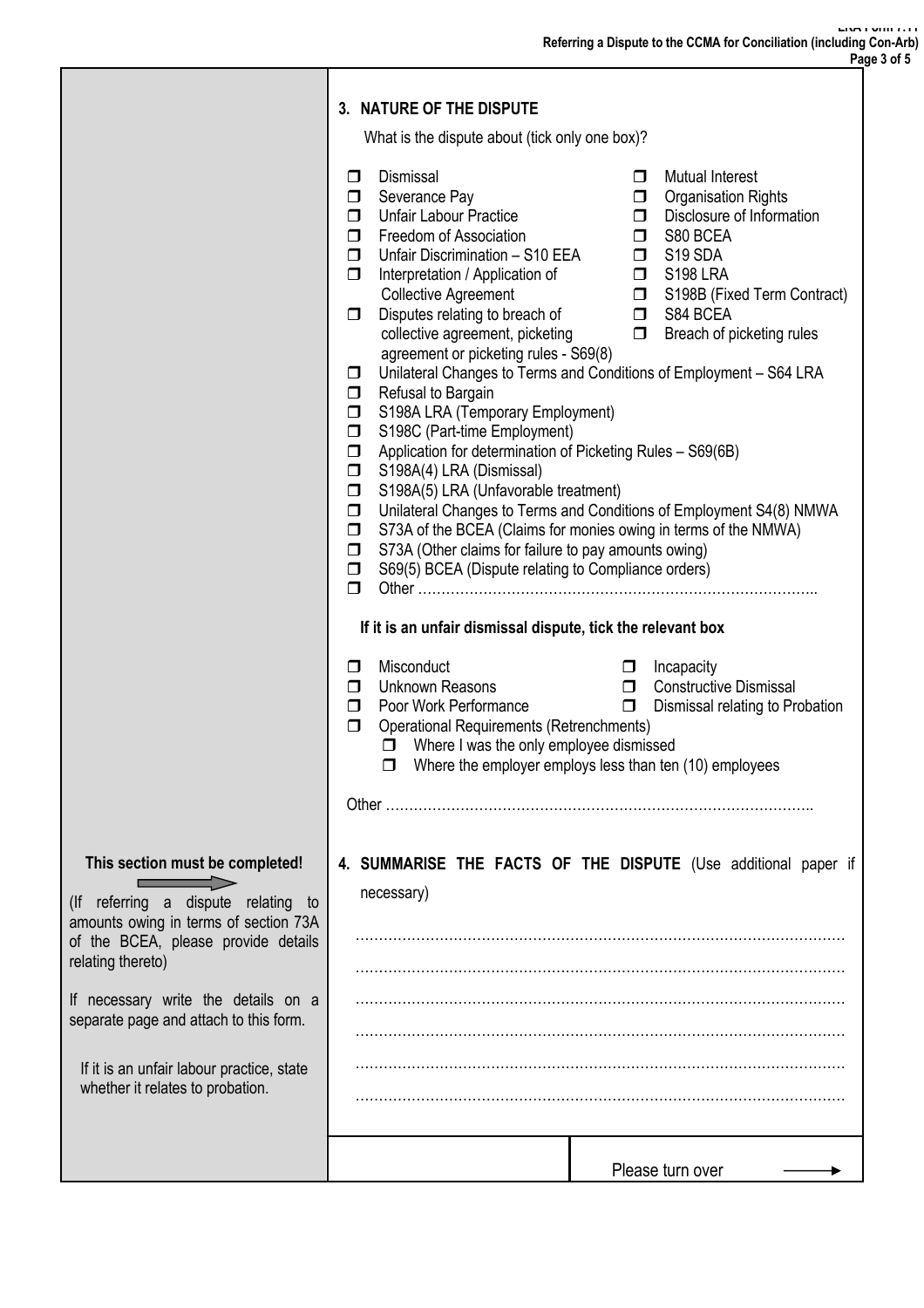|                                                                                                                                                                                                                                                                                                                                               | 3. NATURE OF THE DISPUTE                                                                                                                                                                                                                                                                                                                                                                                                                                                                                                                                                                                                                                                                                                                                                                                                                                                              |                                                                                                                                                                                                                                                                                                                                                                                                                                             |  |
|-----------------------------------------------------------------------------------------------------------------------------------------------------------------------------------------------------------------------------------------------------------------------------------------------------------------------------------------------|---------------------------------------------------------------------------------------------------------------------------------------------------------------------------------------------------------------------------------------------------------------------------------------------------------------------------------------------------------------------------------------------------------------------------------------------------------------------------------------------------------------------------------------------------------------------------------------------------------------------------------------------------------------------------------------------------------------------------------------------------------------------------------------------------------------------------------------------------------------------------------------|---------------------------------------------------------------------------------------------------------------------------------------------------------------------------------------------------------------------------------------------------------------------------------------------------------------------------------------------------------------------------------------------------------------------------------------------|--|
|                                                                                                                                                                                                                                                                                                                                               | What is the dispute about (tick only one box)?                                                                                                                                                                                                                                                                                                                                                                                                                                                                                                                                                                                                                                                                                                                                                                                                                                        |                                                                                                                                                                                                                                                                                                                                                                                                                                             |  |
|                                                                                                                                                                                                                                                                                                                                               | Dismissal<br>$\Box$<br>Severance Pay<br>$\Box$<br><b>Unfair Labour Practice</b><br>$\Box$<br>Freedom of Association<br>$\Box$<br>Preedom of Association<br>Unfair Discrimination – S10 EEA □ S19 SDA<br>$\Box$<br>Interpretation / Application of<br>$\Box$<br><b>Collective Agreement</b><br>Disputes relating to breach of<br>$\Box$<br>collective agreement, picketing<br>agreement or picketing rules - S69(8)<br>$\Box$<br>Refusal to Bargain<br>$\Box$<br>S198A LRA (Temporary Employment)<br>$\Box$<br>S198C (Part-time Employment)<br>$\Box$<br>Application for determination of Picketing Rules - S69(6B)<br>$\Box$<br>S198A(4) LRA (Dismissal)<br>$\Box$<br>S198A(5) LRA (Unfavorable treatment)<br>$\Box$<br>$\Box$<br>$\Box$<br>S73A (Other claims for failure to pay amounts owing)<br>$\Box$<br>S69(5) BCEA (Dispute relating to Compliance orders)<br>$\Box$<br>$\Box$ | $\Box$ Mutual Interest<br><b>Organisation Rights</b><br>$\Box$<br>$\Box$ Disclosure of Information<br>S80 BCEA<br><b>D</b> S198 LRA<br>S198B (Fixed Term Contract)<br><b>D</b> S84 BCEA<br>$\Box$ Breach of picketing rules<br>Unilateral Changes to Terms and Conditions of Employment - S64 LRA<br>Unilateral Changes to Terms and Conditions of Employment S4(8) NMWA<br>S73A of the BCEA (Claims for monies owing in terms of the NMWA) |  |
|                                                                                                                                                                                                                                                                                                                                               | If it is an unfair dismissal dispute, tick the relevant box                                                                                                                                                                                                                                                                                                                                                                                                                                                                                                                                                                                                                                                                                                                                                                                                                           |                                                                                                                                                                                                                                                                                                                                                                                                                                             |  |
|                                                                                                                                                                                                                                                                                                                                               | Misconduct<br>$\Box$<br><b>Unknown Reasons</b><br>$\Box$<br>Poor Work Performance<br>$\Box$<br><b>Operational Requirements (Retrenchments)</b><br>$\Box$<br>$\Box$ Where I was the only employee dismissed                                                                                                                                                                                                                                                                                                                                                                                                                                                                                                                                                                                                                                                                            | Incapacity<br>$\Box$<br><b>O</b> Constructive Dismissal<br>$\Box$<br>Dismissal relating to Probation<br>$\Box$ Where the employer employs less than ten (10) employees                                                                                                                                                                                                                                                                      |  |
|                                                                                                                                                                                                                                                                                                                                               |                                                                                                                                                                                                                                                                                                                                                                                                                                                                                                                                                                                                                                                                                                                                                                                                                                                                                       |                                                                                                                                                                                                                                                                                                                                                                                                                                             |  |
| This section must be completed!<br>(If referring a dispute relating to<br>amounts owing in terms of section 73A<br>of the BCEA, please provide details<br>relating thereto)<br>If necessary write the details on a<br>separate page and attach to this form.<br>If it is an unfair labour practice, state<br>whether it relates to probation. | necessary)                                                                                                                                                                                                                                                                                                                                                                                                                                                                                                                                                                                                                                                                                                                                                                                                                                                                            | 4. SUMMARISE THE FACTS OF THE DISPUTE (Use additional paper if                                                                                                                                                                                                                                                                                                                                                                              |  |
|                                                                                                                                                                                                                                                                                                                                               |                                                                                                                                                                                                                                                                                                                                                                                                                                                                                                                                                                                                                                                                                                                                                                                                                                                                                       | Please turn over                                                                                                                                                                                                                                                                                                                                                                                                                            |  |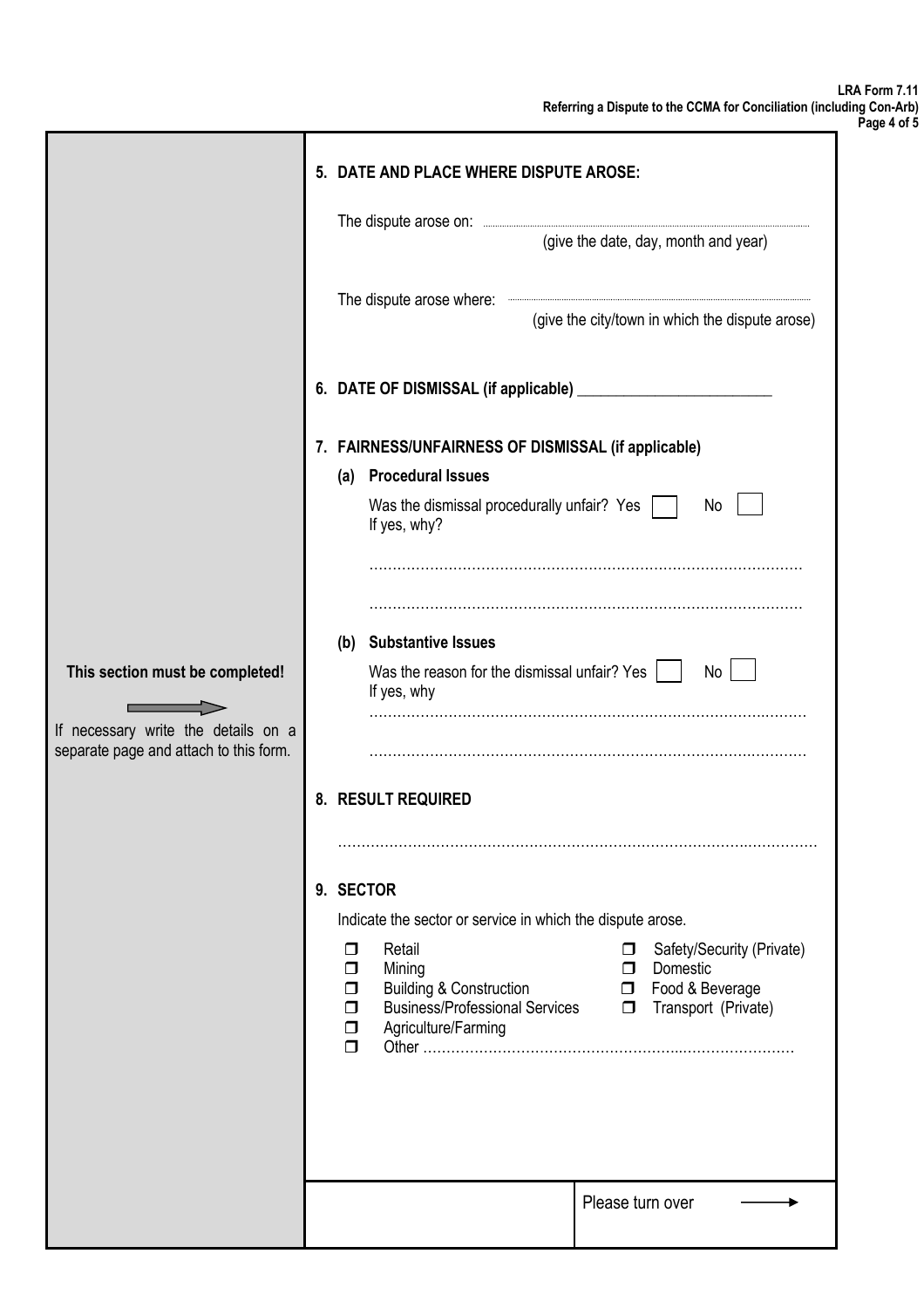| ועוריוטט צוו |  |  |
|--------------|--|--|
| Page 4 of 5  |  |  |

|                                                                                                                  | 5. DATE AND PLACE WHERE DISPUTE AROSE:                                                                                                                                                                                                                                              |  |  |
|------------------------------------------------------------------------------------------------------------------|-------------------------------------------------------------------------------------------------------------------------------------------------------------------------------------------------------------------------------------------------------------------------------------|--|--|
|                                                                                                                  |                                                                                                                                                                                                                                                                                     |  |  |
|                                                                                                                  | (give the date, day, month and year)                                                                                                                                                                                                                                                |  |  |
|                                                                                                                  | The dispute arose where:<br>(give the city/town in which the dispute arose)                                                                                                                                                                                                         |  |  |
|                                                                                                                  | 6. DATE OF DISMISSAL (if applicable) _______                                                                                                                                                                                                                                        |  |  |
|                                                                                                                  | 7. FAIRNESS/UNFAIRNESS OF DISMISSAL (if applicable)                                                                                                                                                                                                                                 |  |  |
|                                                                                                                  | (a) Procedural Issues                                                                                                                                                                                                                                                               |  |  |
|                                                                                                                  | Was the dismissal procedurally unfair? Yes<br>No<br>If yes, why?                                                                                                                                                                                                                    |  |  |
|                                                                                                                  |                                                                                                                                                                                                                                                                                     |  |  |
|                                                                                                                  | (b) Substantive Issues                                                                                                                                                                                                                                                              |  |  |
| This section must be completed!<br>If necessary write the details on a<br>separate page and attach to this form. | Was the reason for the dismissal unfair? Yes  <br>No<br>If yes, why                                                                                                                                                                                                                 |  |  |
|                                                                                                                  |                                                                                                                                                                                                                                                                                     |  |  |
|                                                                                                                  | 8. RESULT REQUIRED                                                                                                                                                                                                                                                                  |  |  |
|                                                                                                                  |                                                                                                                                                                                                                                                                                     |  |  |
|                                                                                                                  | 9. SECTOR                                                                                                                                                                                                                                                                           |  |  |
|                                                                                                                  | Indicate the sector or service in which the dispute arose.                                                                                                                                                                                                                          |  |  |
|                                                                                                                  | Retail<br>Safety/Security (Private)<br>$\Box$<br>◻<br>Domestic<br>Mining<br>$\Box$<br>$\Box$<br><b>D</b> Food & Beverage<br><b>Building &amp; Construction</b><br>□<br><b>Business/Professional Services</b><br>Transport (Private)<br>$\Box$<br>П<br>Agriculture/Farming<br>□<br>⊓ |  |  |
|                                                                                                                  |                                                                                                                                                                                                                                                                                     |  |  |
|                                                                                                                  | Please turn over                                                                                                                                                                                                                                                                    |  |  |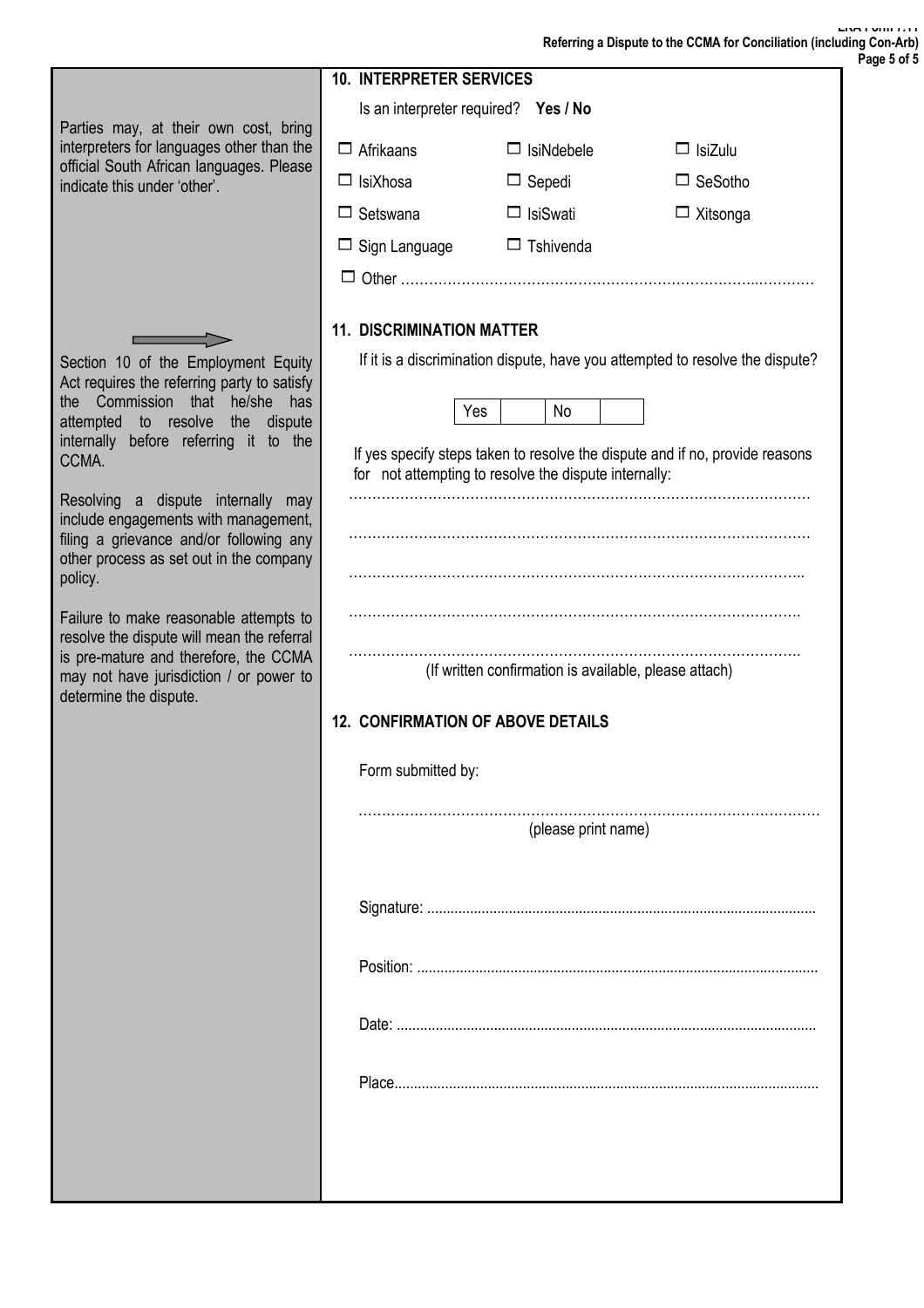**LRA Form 7.11 Referring a Dispute to the CCMA for Conciliation (including Con-Arb)**

|                                                                                                                                                                                                                                                                                                                                                                                                                                                       | <b>10. INTERPRETER SERVICES</b>                              |                                                       |                                                                                                                                                               |
|-------------------------------------------------------------------------------------------------------------------------------------------------------------------------------------------------------------------------------------------------------------------------------------------------------------------------------------------------------------------------------------------------------------------------------------------------------|--------------------------------------------------------------|-------------------------------------------------------|---------------------------------------------------------------------------------------------------------------------------------------------------------------|
|                                                                                                                                                                                                                                                                                                                                                                                                                                                       | Is an interpreter required? Yes / No                         |                                                       |                                                                                                                                                               |
| Parties may, at their own cost, bring<br>interpreters for languages other than the                                                                                                                                                                                                                                                                                                                                                                    | $\Box$ Afrikaans                                             | $\Box$ IsiNdebele                                     | $\Box$ IsiZulu                                                                                                                                                |
| official South African languages. Please<br>indicate this under 'other'.                                                                                                                                                                                                                                                                                                                                                                              | $\Box$ IsiXhosa                                              | $\Box$ Sepedi                                         | $\Box$ SeSotho                                                                                                                                                |
|                                                                                                                                                                                                                                                                                                                                                                                                                                                       | $\Box$ Setswana                                              | $\Box$ IsiSwati                                       | $\Box$ Xitsonga                                                                                                                                               |
|                                                                                                                                                                                                                                                                                                                                                                                                                                                       | $\Box$ Sign Language                                         | $\Box$ Tshivenda                                      |                                                                                                                                                               |
|                                                                                                                                                                                                                                                                                                                                                                                                                                                       |                                                              |                                                       |                                                                                                                                                               |
|                                                                                                                                                                                                                                                                                                                                                                                                                                                       | <b>11. DISCRIMINATION MATTER</b>                             |                                                       |                                                                                                                                                               |
| Section 10 of the Employment Equity<br>Act requires the referring party to satisfy<br>the Commission<br>he/she<br>that<br>has<br>attempted to resolve<br>the<br>dispute<br>internally before referring it to the<br>CCMA.<br>Resolving a dispute internally<br>may<br>include engagements with management,<br>filing a grievance and/or following any<br>other process as set out in the company<br>policy.<br>Failure to make reasonable attempts to | Yes<br>for not attempting to resolve the dispute internally: | No                                                    | If it is a discrimination dispute, have you attempted to resolve the dispute?<br>If yes specify steps taken to resolve the dispute and if no, provide reasons |
| resolve the dispute will mean the referral<br>is pre-mature and therefore, the CCMA<br>may not have jurisdiction / or power to<br>determine the dispute.                                                                                                                                                                                                                                                                                              | <b>12. CONFIRMATION OF ABOVE DETAILS</b>                     | (If written confirmation is available, please attach) |                                                                                                                                                               |
|                                                                                                                                                                                                                                                                                                                                                                                                                                                       | Form submitted by:                                           |                                                       |                                                                                                                                                               |
|                                                                                                                                                                                                                                                                                                                                                                                                                                                       |                                                              | (please print name)                                   |                                                                                                                                                               |
|                                                                                                                                                                                                                                                                                                                                                                                                                                                       |                                                              |                                                       |                                                                                                                                                               |
|                                                                                                                                                                                                                                                                                                                                                                                                                                                       |                                                              |                                                       |                                                                                                                                                               |
|                                                                                                                                                                                                                                                                                                                                                                                                                                                       |                                                              |                                                       |                                                                                                                                                               |
|                                                                                                                                                                                                                                                                                                                                                                                                                                                       |                                                              |                                                       |                                                                                                                                                               |
|                                                                                                                                                                                                                                                                                                                                                                                                                                                       |                                                              |                                                       |                                                                                                                                                               |
|                                                                                                                                                                                                                                                                                                                                                                                                                                                       |                                                              |                                                       |                                                                                                                                                               |
|                                                                                                                                                                                                                                                                                                                                                                                                                                                       |                                                              |                                                       |                                                                                                                                                               |

**Page 5 of 5**